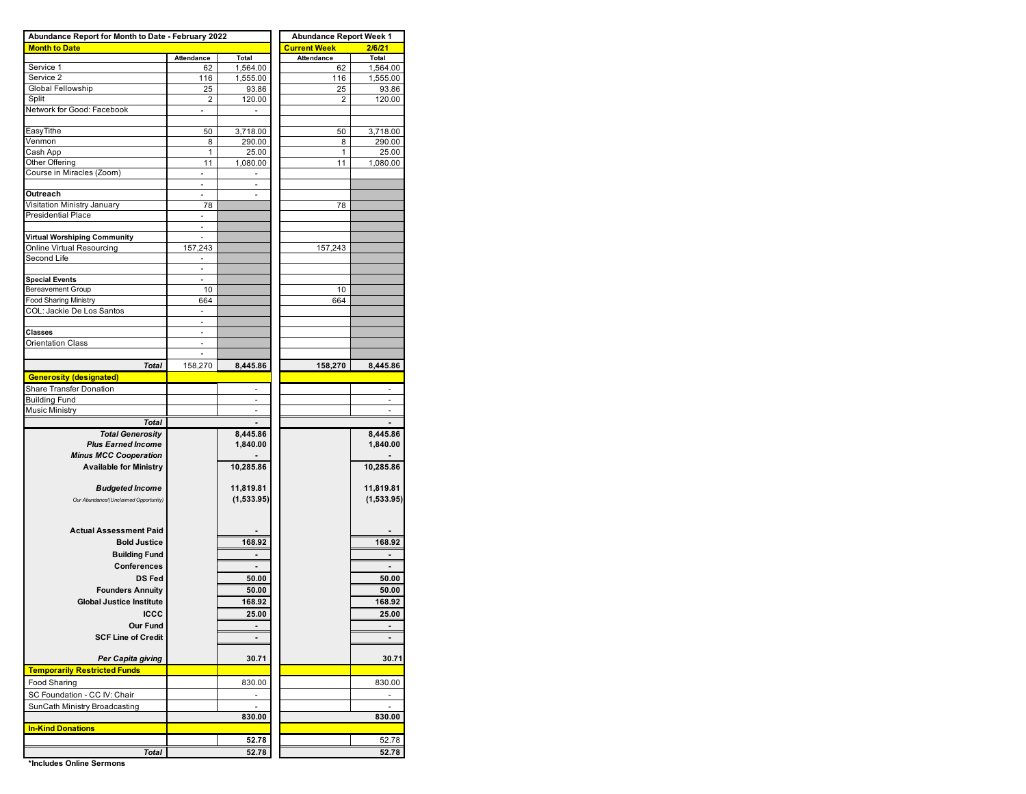| Abundance Report for Month to Date - February 2022        | <b>Abundance Report Week 1</b> |                      |                     |                              |  |  |  |
|-----------------------------------------------------------|--------------------------------|----------------------|---------------------|------------------------------|--|--|--|
| <b>Month to Date</b>                                      |                                |                      | <b>Current Week</b> | 2/6/21                       |  |  |  |
|                                                           | Attendance                     | Total                | <b>Attendance</b>   | Total                        |  |  |  |
| Service 1                                                 | 62                             | 1,564.00             | 62                  | 1,564.00                     |  |  |  |
| Service <sub>2</sub>                                      | 116                            | 1,555.00             | 116                 | 1,555.00                     |  |  |  |
| Global Fellowship                                         | 25                             | 93.86                | 25                  | 93.86                        |  |  |  |
| Split<br>Network for Good: Facebook                       | 2                              | 120.00               | 2                   | 120.00                       |  |  |  |
|                                                           | $\overline{\phantom{a}}$       | $\frac{1}{2}$        |                     |                              |  |  |  |
| EasyTithe                                                 | 50                             | 3,718.00             | 50                  | 3,718.00                     |  |  |  |
| Venmon                                                    | 8                              | 290.00               | 8                   | 290.00                       |  |  |  |
| Cash App                                                  | 1                              | 25.00                | 1                   | 25.00                        |  |  |  |
| Other Offering                                            | 11                             | 1,080.00             | 11                  | 1,080.00                     |  |  |  |
| Course in Miracles (Zoom)                                 | ä,                             |                      |                     |                              |  |  |  |
|                                                           | ٠                              | ÷.                   |                     |                              |  |  |  |
| Outreach                                                  |                                |                      |                     |                              |  |  |  |
| Visitation Ministry January                               | 78                             |                      | 78                  |                              |  |  |  |
| <b>Presidential Place</b>                                 |                                |                      |                     |                              |  |  |  |
|                                                           | $\blacksquare$                 |                      |                     |                              |  |  |  |
| Virtual Worshiping Community                              | 157,243                        |                      |                     |                              |  |  |  |
| Online Virtual Resourcing<br>Second Life                  | ٠                              |                      | 157,243             |                              |  |  |  |
|                                                           | -                              |                      |                     |                              |  |  |  |
| <b>Special Events</b>                                     |                                |                      |                     |                              |  |  |  |
| Bereavement Group                                         | 10                             |                      | 10                  |                              |  |  |  |
| <b>Food Sharing Ministry</b>                              | 664                            |                      | 664                 |                              |  |  |  |
| COL: Jackie De Los Santos                                 |                                |                      |                     |                              |  |  |  |
|                                                           | ÷.                             |                      |                     |                              |  |  |  |
| Classes                                                   |                                |                      |                     |                              |  |  |  |
| <b>Orientation Class</b>                                  | $\overline{\phantom{a}}$       |                      |                     |                              |  |  |  |
|                                                           |                                |                      |                     |                              |  |  |  |
| Total                                                     | 158,270                        | 8,445.86             | 158,270             | 8,445.86                     |  |  |  |
| <b>Generosity (designated)</b>                            |                                |                      |                     |                              |  |  |  |
| Share Transfer Donation                                   |                                |                      |                     |                              |  |  |  |
| <b>Building Fund</b>                                      |                                | $\ddot{\phantom{1}}$ |                     | $\ddot{\phantom{1}}$         |  |  |  |
| <b>Music Ministry</b>                                     |                                |                      |                     |                              |  |  |  |
| Total                                                     |                                | $\overline{a}$       |                     |                              |  |  |  |
| <b>Total Generosity</b>                                   |                                | 8,445.86             |                     | 8,445.86                     |  |  |  |
| <b>Plus Earned Income</b><br><b>Minus MCC Cooperation</b> |                                | 1,840.00             |                     | 1,840.00                     |  |  |  |
|                                                           |                                |                      |                     |                              |  |  |  |
| <b>Available for Ministry</b>                             |                                | 10,285.86            |                     | 10,285.86                    |  |  |  |
| <b>Budgeted Income</b>                                    |                                | 11,819.81            |                     | 11,819.81                    |  |  |  |
| Our Abundance/(Unclaimed Opportunity)                     |                                | (1,533.95)           |                     | (1,533.95)                   |  |  |  |
|                                                           |                                |                      |                     |                              |  |  |  |
|                                                           |                                |                      |                     |                              |  |  |  |
| <b>Actual Assessment Paid</b>                             |                                |                      |                     |                              |  |  |  |
| <b>Bold Justice</b>                                       |                                | 168.92               |                     | 168.92                       |  |  |  |
| <b>Building Fund</b>                                      |                                |                      |                     |                              |  |  |  |
| Conferences                                               |                                |                      |                     |                              |  |  |  |
| <b>DS Fed</b>                                             |                                | 50.00                |                     | 50.00                        |  |  |  |
| <b>Founders Annuity</b>                                   |                                | 50.00                |                     | 50.00                        |  |  |  |
| <b>Global Justice Institute</b>                           |                                | 168.92               |                     | 168.92                       |  |  |  |
| <b>ICCC</b>                                               |                                | 25.00                |                     | 25.00                        |  |  |  |
| Our Fund                                                  |                                |                      |                     |                              |  |  |  |
| <b>SCF Line of Credit</b>                                 |                                |                      |                     | $\qquad \qquad \blacksquare$ |  |  |  |
|                                                           |                                |                      |                     |                              |  |  |  |
| Per Capita giving                                         |                                | 30.71                |                     | 30.71                        |  |  |  |
| <b>Temporarily Restricted Funds</b>                       |                                |                      |                     |                              |  |  |  |
| Food Sharing                                              |                                | 830.00               |                     | 830.00                       |  |  |  |
| SC Foundation - CC IV: Chair                              |                                | $\bar{\phantom{a}}$  |                     | ÷.                           |  |  |  |
| SunCath Ministry Broadcasting                             |                                |                      |                     |                              |  |  |  |
|                                                           |                                | 830.00               |                     | 830.00                       |  |  |  |
| <b>In-Kind Donations</b>                                  |                                |                      |                     |                              |  |  |  |
|                                                           |                                | 52.78                |                     | 52.78                        |  |  |  |
| <b>Total</b>                                              |                                | 52.78                |                     | 52.78                        |  |  |  |
|                                                           |                                |                      |                     |                              |  |  |  |

**\*Includes Online Sermons**